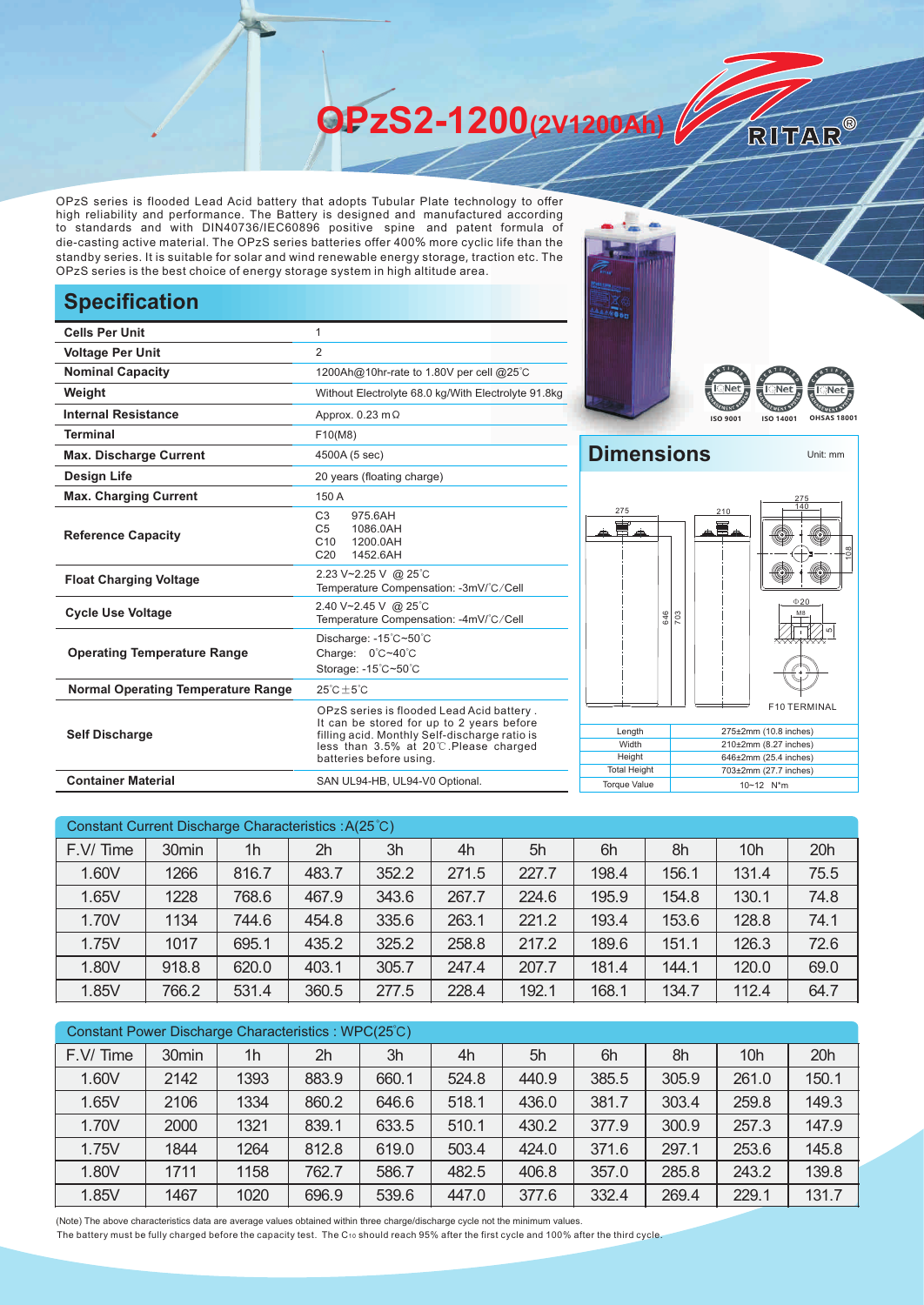**OPzS2-1200(2V1200Ah)** 

OPzS series is flooded Lead Acid battery that adopts Tubular Plate technology to offer high reliability and performance. The Battery is designed and manufactured according to standards and with DIN40736/IEC60896 positive spine and patent formula of die-casting active material. The OPzS series batteries offer 400% more cyclic life than the standby series. It is suitable for solar and wind renewable energy storage, traction etc. The OPzS series is the best choice of energy storage system in high altitude area.

## **Specification**

| <b>Cells Per Unit</b>                     | 1                                                                                                                                                                                                           |  |  |  |  |  |
|-------------------------------------------|-------------------------------------------------------------------------------------------------------------------------------------------------------------------------------------------------------------|--|--|--|--|--|
| <b>Voltage Per Unit</b>                   | $\overline{2}$                                                                                                                                                                                              |  |  |  |  |  |
| <b>Nominal Capacity</b>                   | 1200Ah@10hr-rate to 1.80V per cell @25°C                                                                                                                                                                    |  |  |  |  |  |
| Weight                                    | Without Electrolyte 68.0 kg/With Electrolyte 91.8kg                                                                                                                                                         |  |  |  |  |  |
| <b>Internal Resistance</b>                | Approx. $0.23 \text{ m}\Omega$                                                                                                                                                                              |  |  |  |  |  |
| <b>Terminal</b>                           | F10(M8)                                                                                                                                                                                                     |  |  |  |  |  |
| <b>Max. Discharge Current</b>             | 4500A (5 sec)                                                                                                                                                                                               |  |  |  |  |  |
| <b>Design Life</b>                        | 20 years (floating charge)                                                                                                                                                                                  |  |  |  |  |  |
| <b>Max. Charging Current</b>              | 150 A                                                                                                                                                                                                       |  |  |  |  |  |
| <b>Reference Capacity</b>                 | C <sub>3</sub><br>975.6AH<br>C <sub>5</sub><br>1086.0AH<br>C10<br>1200.0AH<br>C <sub>20</sub><br>1452.6AH                                                                                                   |  |  |  |  |  |
| <b>Float Charging Voltage</b>             | 2.23 V~2.25 V @ 25°C<br>Temperature Compensation: -3mV/°C/Cell                                                                                                                                              |  |  |  |  |  |
| <b>Cycle Use Voltage</b>                  | 2.40 V~2.45 V @ 25°C<br>Temperature Compensation: -4mV/°C/Cell                                                                                                                                              |  |  |  |  |  |
| <b>Operating Temperature Range</b>        | Discharge: -15°C~50°C<br>Charge: 0°C~40°C<br>Storage: -15°C~50°C                                                                                                                                            |  |  |  |  |  |
| <b>Normal Operating Temperature Range</b> | $25^{\circ}$ C + 5 $^{\circ}$ C                                                                                                                                                                             |  |  |  |  |  |
| <b>Self Discharge</b>                     | OPzS series is flooded Lead Acid battery.<br>It can be stored for up to 2 years before<br>filling acid. Monthly Self-discharge ratio is<br>less than 3.5% at 20°C.Please charged<br>batteries before using. |  |  |  |  |  |
| <b>Container Material</b>                 | SAN UL94-HB, UL94-V0 Optional.                                                                                                                                                                              |  |  |  |  |  |





RITAR®

## **Dimensions** Unit: mm **Length Width Height** Total Height 275±2mm (10.8 inches) 210±2mm (8.27 inches) 646±2mm (25.4 inches) 703±2mm (27.7 inches) Torque Value 10~12 N<sup>\*</sup>m 55 F10 TERMINAL Mε  $020$  $\frac{8}{10}$ 140 210  $rac{6}{26}$ 275 275

| Constant Current Discharge Characteristics : A(25 °C) |       |                |       |       |       |       |       |       |                 |      |
|-------------------------------------------------------|-------|----------------|-------|-------|-------|-------|-------|-------|-----------------|------|
| F.V/ Time                                             | 30min | 1 <sub>h</sub> | 2h    | 3h    | 4h    | 5h    | 6h    | 8h    | 10 <sub>h</sub> | 20h  |
| 1.60V                                                 | 1266  | 816.7          | 483.7 | 352.2 | 271.5 | 227.7 | 198.4 | 156.1 | 131.4           | 75.5 |
| 1.65V                                                 | 1228  | 768.6          | 467.9 | 343.6 | 267.7 | 224.6 | 195.9 | 154.8 | 130.1           | 74.8 |
| 1.70V                                                 | 1134  | 744.6          | 454.8 | 335.6 | 263.1 | 221.2 | 193.4 | 153.6 | 128.8           | 74.1 |
| 1.75V                                                 | 1017  | 695.1          | 435.2 | 325.2 | 258.8 | 217.2 | 189.6 | 151.1 | 126.3           | 72.6 |
| 1.80V                                                 | 918.8 | 620.0          | 403.1 | 305.7 | 247.4 | 207.7 | 181.4 | 144.1 | 120.0           | 69.0 |
| 1.85V                                                 | 766.2 | 531.4          | 360.5 | 277.5 | 228.4 | 192.1 | 168.1 | 134.7 | 112.4           | 64.7 |

| Constant Power Discharge Characteristics : WPC(25°C) |                   |                |                |       |       |       |       |       |                 |       |
|------------------------------------------------------|-------------------|----------------|----------------|-------|-------|-------|-------|-------|-----------------|-------|
| F.V/Time                                             | 30 <sub>min</sub> | 1 <sub>h</sub> | 2 <sub>h</sub> | 3h    | 4h    | 5h    | 6h    | 8h    | 10 <sub>h</sub> | 20h   |
| 1.60V                                                | 2142              | 1393           | 883.9          | 660.1 | 524.8 | 440.9 | 385.5 | 305.9 | 261.0           | 150.1 |
| 1.65V                                                | 2106              | 1334           | 860.2          | 646.6 | 518.1 | 436.0 | 381.7 | 303.4 | 259.8           | 149.3 |
| 1.70V                                                | 2000              | 1321           | 839.1          | 633.5 | 510.1 | 430.2 | 377.9 | 300.9 | 257.3           | 147.9 |
| 1.75V                                                | 1844              | 1264           | 812.8          | 619.0 | 503.4 | 424.0 | 371.6 | 297.1 | 253.6           | 145.8 |
| 1.80V                                                | 1711              | 1158           | 762.7          | 586.7 | 482.5 | 406.8 | 357.0 | 285.8 | 243.2           | 139.8 |
| 1.85V                                                | 1467              | 1020           | 696.9          | 539.6 | 447.0 | 377.6 | 332.4 | 269.4 | 229.1           | 131.7 |

(Note) The above characteristics data are average values obtained within three charge/discharge cycle not the minimum values.

The battery must be fully charged before the capacity test. The C10 should reach 95% after the first cycle and 100% after the third cycle.